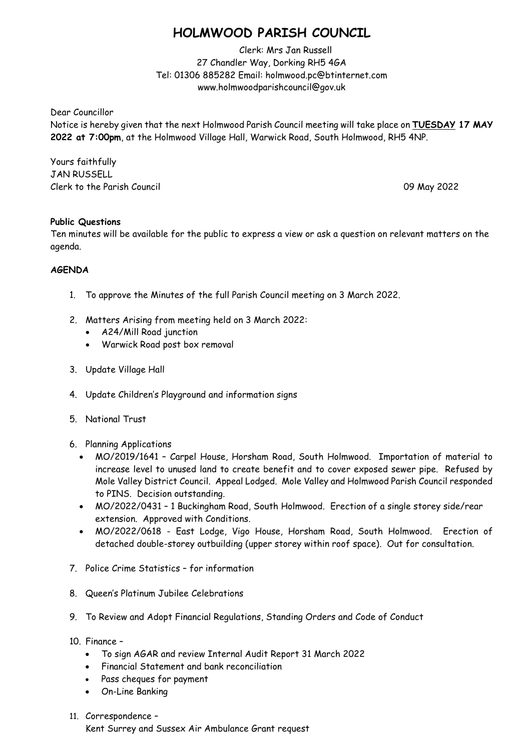## **HOLMWOOD PARISH COUNCIL**

Clerk: Mrs Jan Russell 27 Chandler Way, Dorking RH5 4GA Tel: 01306 885282 Email: holmwood.pc@btinternet.com www.holmwoodparishcouncil@gov.uk

Dear Councillor

Notice is hereby given that the next Holmwood Parish Council meeting will take place on **TUESDAY 17 MAY 2022 at 7:00pm**, at the Holmwood Village Hall, Warwick Road, South Holmwood, RH5 4NP.

Yours faithfully JAN RUSSELL Clerk to the Parish Council 09 May 2022

## **Public Questions**

Ten minutes will be available for the public to express a view or ask a question on relevant matters on the agenda.

## **AGENDA**

- 1. To approve the Minutes of the full Parish Council meeting on 3 March 2022.
- 2. Matters Arising from meeting held on 3 March 2022:
	- A24/Mill Road junction
	- Warwick Road post box removal
- 3. Update Village Hall
- 4. Update Children's Playground and information signs
- 5. National Trust
- 6. Planning Applications
	- MO/2019/1641 Carpel House, Horsham Road, South Holmwood. Importation of material to increase level to unused land to create benefit and to cover exposed sewer pipe. Refused by Mole Valley District Council. Appeal Lodged. Mole Valley and Holmwood Parish Council responded to PINS. Decision outstanding.
	- MO/2022/0431 1 Buckingham Road, South Holmwood. Erection of a single storey side/rear extension. Approved with Conditions.
	- MO/2022/0618 East Lodge, Vigo House, Horsham Road, South Holmwood. Erection of detached double-storey outbuilding (upper storey within roof space). Out for consultation.
- 7. Police Crime Statistics for information
- 8. Queen's Platinum Jubilee Celebrations
- 9. To Review and Adopt Financial Regulations, Standing Orders and Code of Conduct
- 10. Finance
	- To sign AGAR and review Internal Audit Report 31 March 2022
	- Financial Statement and bank reconciliation
	- Pass cheques for payment
	- On-Line Banking
- 11. Correspondence –

Kent Surrey and Sussex Air Ambulance Grant request